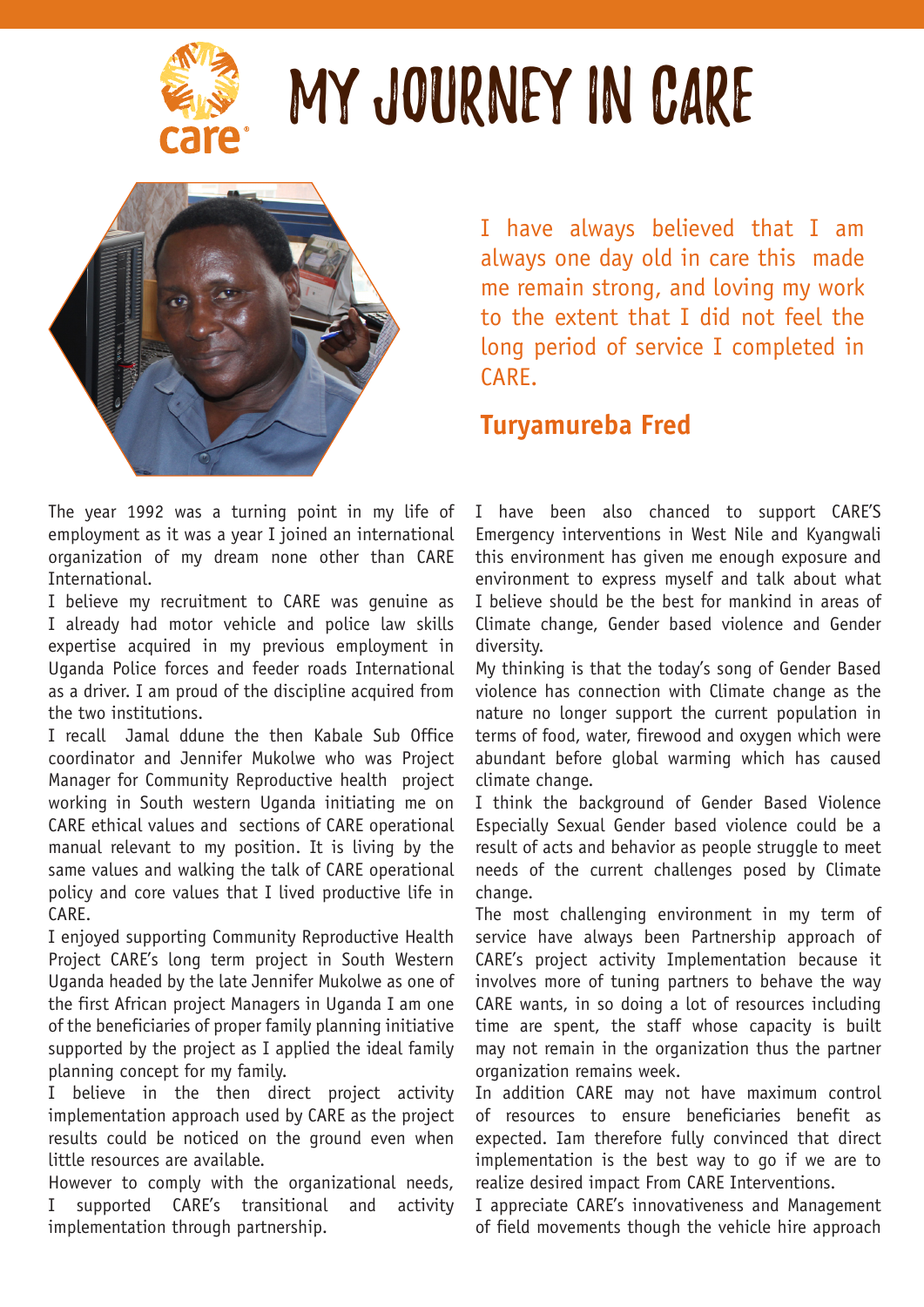

## MY JOUrNEY IN CARE



I have always believed that I am always one day old in care this made me remain strong, and loving my work to the extent that I did not feel the long period of service I completed in CARE.

## **Turyamureba Fred**

The year 1992 was a turning point in my life of employment as it was a year I joined an international organization of my dream none other than CARE International.

I believe my recruitment to CARE was genuine as I already had motor vehicle and police law skills expertise acquired in my previous employment in Uganda Police forces and feeder roads International as a driver. I am proud of the discipline acquired from the two institutions.

I recall Jamal ddune the then Kabale Sub Office coordinator and Jennifer Mukolwe who was Project Manager for Community Reproductive health project working in South western Uganda initiating me on CARE ethical values and sections of CARE operational manual relevant to my position. It is living by the same values and walking the talk of CARE operational policy and core values that I lived productive life in CARE.

I enjoyed supporting Community Reproductive Health Project CARE's long term project in South Western Uganda headed by the late Jennifer Mukolwe as one of the first African project Managers in Uganda I am one of the beneficiaries of proper family planning initiative supported by the project as I applied the ideal family planning concept for my family.

I believe in the then direct project activity implementation approach used by CARE as the project results could be noticed on the ground even when little resources are available.

However to comply with the organizational needs, I supported CARE's transitional and activity implementation through partnership.

I have been also chanced to support CARE'S Emergency interventions in West Nile and Kyangwali this environment has given me enough exposure and environment to express myself and talk about what I believe should be the best for mankind in areas of Climate change, Gender based violence and Gender diversity.

My thinking is that the today's song of Gender Based violence has connection with Climate change as the nature no longer support the current population in terms of food, water, firewood and oxygen which were abundant before global warming which has caused climate change.

I think the background of Gender Based Violence Especially Sexual Gender based violence could be a result of acts and behavior as people struggle to meet needs of the current challenges posed by Climate change.

The most challenging environment in my term of service have always been Partnership approach of CARE's project activity Implementation because it involves more of tuning partners to behave the way CARE wants, in so doing a lot of resources including time are spent, the staff whose capacity is built may not remain in the organization thus the partner organization remains week.

In addition CARE may not have maximum control of resources to ensure beneficiaries benefit as expected. Iam therefore fully convinced that direct implementation is the best way to go if we are to realize desired impact From CARE Interventions.

I appreciate CARE's innovativeness and Management of field movements though the vehicle hire approach